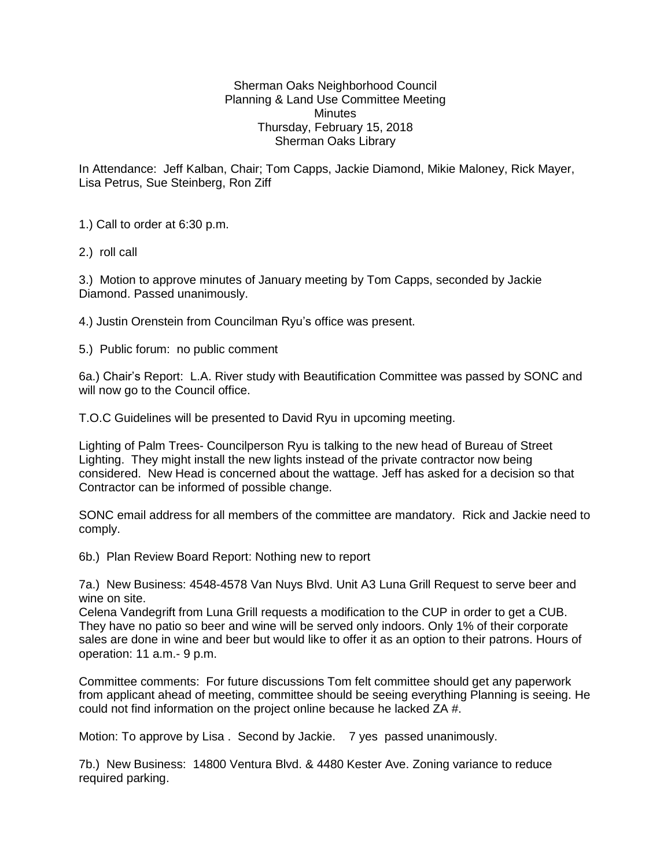## Sherman Oaks Neighborhood Council Planning & Land Use Committee Meeting **Minutes** Thursday, February 15, 2018 Sherman Oaks Library

In Attendance: Jeff Kalban, Chair; Tom Capps, Jackie Diamond, Mikie Maloney, Rick Mayer, Lisa Petrus, Sue Steinberg, Ron Ziff

1.) Call to order at 6:30 p.m.

2.) roll call

3.) Motion to approve minutes of January meeting by Tom Capps, seconded by Jackie Diamond. Passed unanimously.

4.) Justin Orenstein from Councilman Ryu's office was present.

5.) Public forum: no public comment

6a.) Chair's Report: L.A. River study with Beautification Committee was passed by SONC and will now go to the Council office.

T.O.C Guidelines will be presented to David Ryu in upcoming meeting.

Lighting of Palm Trees- Councilperson Ryu is talking to the new head of Bureau of Street Lighting. They might install the new lights instead of the private contractor now being considered. New Head is concerned about the wattage. Jeff has asked for a decision so that Contractor can be informed of possible change.

SONC email address for all members of the committee are mandatory. Rick and Jackie need to comply.

6b.) Plan Review Board Report: Nothing new to report

7a.) New Business: 4548-4578 Van Nuys Blvd. Unit A3 Luna Grill Request to serve beer and wine on site.

Celena Vandegrift from Luna Grill requests a modification to the CUP in order to get a CUB. They have no patio so beer and wine will be served only indoors. Only 1% of their corporate sales are done in wine and beer but would like to offer it as an option to their patrons. Hours of operation: 11 a.m.- 9 p.m.

Committee comments: For future discussions Tom felt committee should get any paperwork from applicant ahead of meeting, committee should be seeing everything Planning is seeing. He could not find information on the project online because he lacked ZA #.

Motion: To approve by Lisa . Second by Jackie. 7 yes passed unanimously.

7b.) New Business: 14800 Ventura Blvd. & 4480 Kester Ave. Zoning variance to reduce required parking.